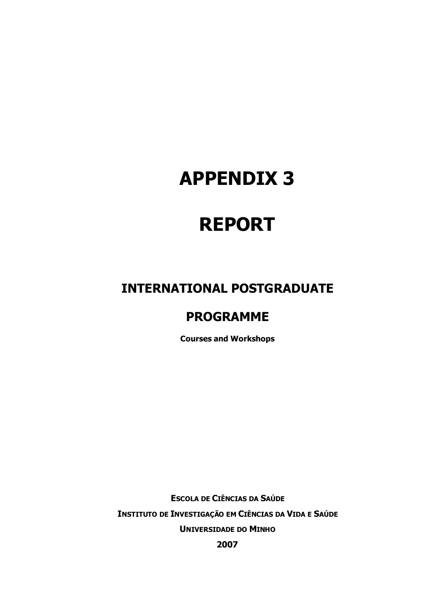# APPENDIX 3

# REPORT

## INTERNATIONAL POSTGRADUATE

# PROGRAMME

Courses and Workshops

ESCOLA DE CIÊNCIAS DA SAÚDE INSTITUTO DE INVESTIGAÇÃO EM CIÊNCIAS DA VIDA E SAÚDE UNIVERSIDADE DO MINHO 2007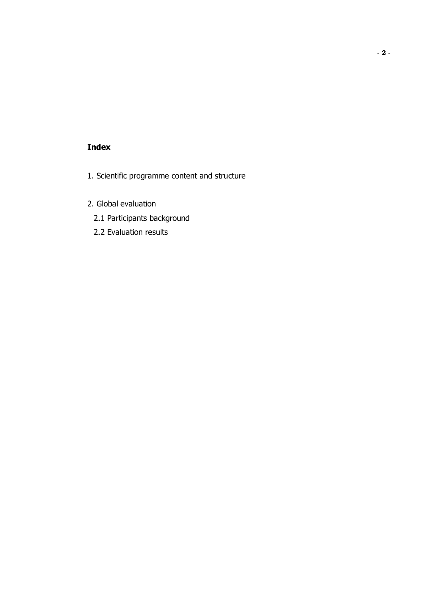### Index

- 1. Scientific programme content and structure
- 2. Global evaluation
	- 2.1 Participants background
	- 2.2 Evaluation results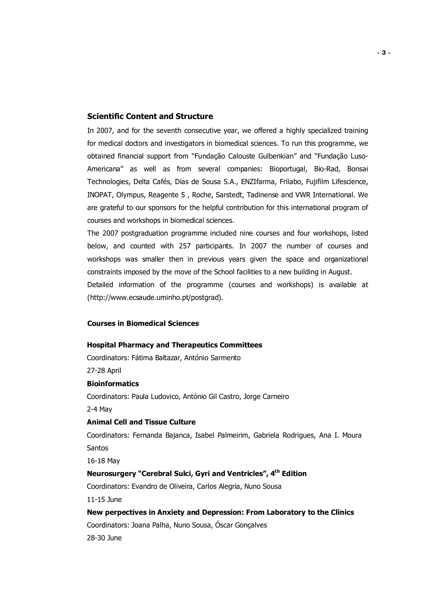#### Scientific Content and Structure

In 2007, and for the seventh consecutive year, we offered a highly specialized training for medical doctors and investigators in biomedical sciences. To run this programme, we obtained financial support from "Fundação Calouste Gulbenkian" and "Fundação Luso-Americana" as well as from several companies: Bioportugal, Bio-Rad, Bonsai Technologies, Delta Cafés, Dias de Sousa S.A., ENZIfarma, Frilabo, Fujifilm Lifescience, INOPAT, Olympus, Reagente 5 , Roche, Sarstedt, Tadinense and VWR International. We are grateful to our sponsors for the helpful contribution for this international program of courses and workshops in biomedical sciences.

The 2007 postgraduation programme included nine courses and four workshops, listed below, and counted with 257 participants. In 2007 the number of courses and workshops was smaller then in previous years given the space and organizational constraints imposed by the move of the School facilities to a new building in August.

Detailed information of the programme (courses and workshops) is available at (http://www.ecsaude.uminho.pt/postgrad).

#### Courses in Biomedical Sciences

#### Hospital Pharmacy and Therapeutics Committees

Coordinators: Fátima Baltazar, António Sarmento

27-28 April

#### **Bioinformatics**

Coordinators: Paula Ludovico, António Gil Castro, Jorge Carneiro

2-4 May

#### Animal Cell and Tissue Culture

Coordinators: Fernanda Bajanca, Isabel Palmeirim, Gabriela Rodrigues, Ana I. Moura Santos

16-18 May

#### Neurosurgery "Cerebral Sulci, Gyri and Ventricles", 4th Edition

Coordinators: Evandro de Oliveira, Carlos Alegria, Nuno Sousa

11-15 June

## New perpectives in Anxiety and Depression: From Laboratory to the Clinics Coordinators: Joana Palha, Nuno Sousa, Óscar Gonçalves 28-30 June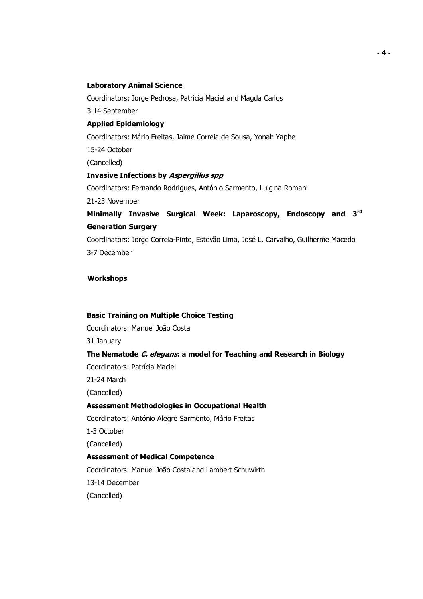#### Laboratory Animal Science

Coordinators: Jorge Pedrosa, Patrícia Maciel and Magda Carlos

3-14 September

#### Applied Epidemiology

Coordinators: Mário Freitas, Jaime Correia de Sousa, Yonah Yaphe

15-24 October

(Cancelled)

#### Invasive Infections by Aspergillus spp

Coordinators: Fernando Rodrigues, António Sarmento, Luigina Romani

21-23 November

## Minimally Invasive Surgical Week: Laparoscopy, Endoscopy and 3rd Generation Surgery

Coordinators: Jorge Correia-Pinto, Estevão Lima, José L. Carvalho, Guilherme Macedo 3-7 December

#### **Workshops**

#### Basic Training on Multiple Choice Testing

Coordinators: Manuel João Costa

31 January

#### The Nematode C. elegans: a model for Teaching and Research in Biology

Coordinators: Patrícia Maciel

21-24 March

(Cancelled)

#### Assessment Methodologies in Occupational Health

Coordinators: António Alegre Sarmento, Mário Freitas

1-3 October

(Cancelled)

#### Assessment of Medical Competence

Coordinators: Manuel João Costa and Lambert Schuwirth

13-14 December

(Cancelled)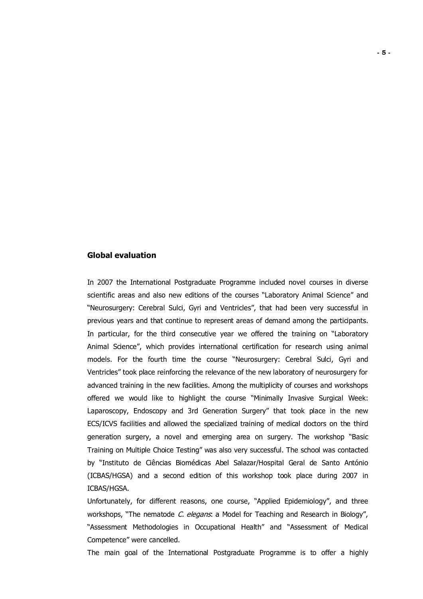#### Global evaluation

In 2007 the International Postgraduate Programme included novel courses in diverse scientific areas and also new editions of the courses "Laboratory Animal Science" and "Neurosurgery: Cerebral Sulci, Gyri and Ventricles", that had been very successful in previous years and that continue to represent areas of demand among the participants. In particular, for the third consecutive year we offered the training on "Laboratory Animal Science", which provides international certification for research using animal models. For the fourth time the course "Neurosurgery: Cerebral Sulci, Gyri and Ventricles" took place reinforcing the relevance of the new laboratory of neurosurgery for advanced training in the new facilities. Among the multiplicity of courses and workshops offered we would like to highlight the course "Minimally Invasive Surgical Week: Laparoscopy, Endoscopy and 3rd Generation Surgery" that took place in the new ECS/ICVS facilities and allowed the specialized training of medical doctors on the third generation surgery, a novel and emerging area on surgery. The workshop "Basic Training on Multiple Choice Testing" was also very successful. The school was contacted by "Instituto de Ciências Biomédicas Abel Salazar/Hospital Geral de Santo António (ICBAS/HGSA) and a second edition of this workshop took place during 2007 in ICBAS/HGSA.

Unfortunately, for different reasons, one course, "Applied Epidemiology", and three workshops, "The nematode C. elegans: a Model for Teaching and Research in Biology", "Assessment Methodologies in Occupational Health" and "Assessment of Medical Competence" were cancelled.

The main goal of the International Postgraduate Programme is to offer a highly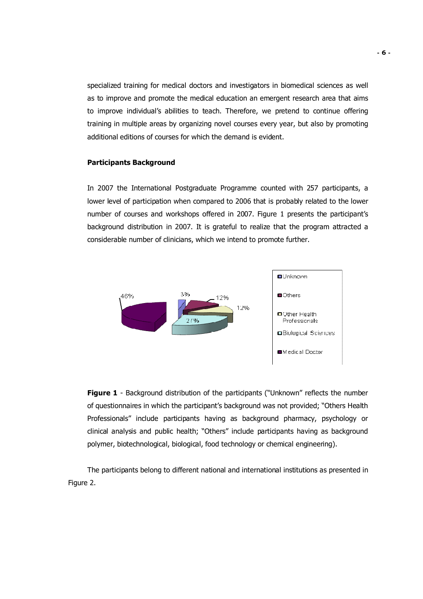specialized training for medical doctors and investigators in biomedical sciences as well as to improve and promote the medical education an emergent research area that aims to improve individual's abilities to teach. Therefore, we pretend to continue offering training in multiple areas by organizing novel courses every year, but also by promoting additional editions of courses for which the demand is evident.

#### Participants Background

In 2007 the International Postgraduate Programme counted with 257 participants, a lower level of participation when compared to 2006 that is probably related to the lower number of courses and workshops offered in 2007. Figure 1 presents the participant's background distribution in 2007. It is grateful to realize that the program attracted a considerable number of clinicians, which we intend to promote further.



**Figure 1** - Background distribution of the participants ("Unknown" reflects the number of questionnaires in which the participant's background was not provided; "Others Health Professionals" include participants having as background pharmacy, psychology or clinical analysis and public health; "Others" include participants having as background polymer, biotechnological, biological, food technology or chemical engineering).

 The participants belong to different national and international institutions as presented in Figure 2.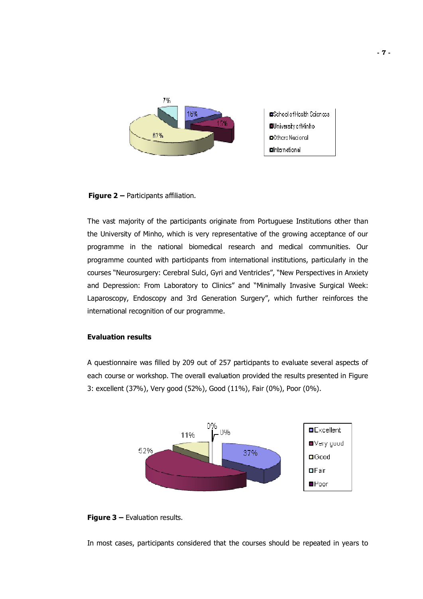

**Figure 2 – Participants affiliation.** 

The vast majority of the participants originate from Portuguese Institutions other than the University of Minho, which is very representative of the growing acceptance of our programme in the national biomedical research and medical communities. Our programme counted with participants from international institutions, particularly in the courses "Neurosurgery: Cerebral Sulci, Gyri and Ventricles", "New Perspectives in Anxiety and Depression: From Laboratory to Clinics" and "Minimally Invasive Surgical Week: Laparoscopy, Endoscopy and 3rd Generation Surgery", which further reinforces the international recognition of our programme.

#### Evaluation results

A questionnaire was filled by 209 out of 257 participants to evaluate several aspects of each course or workshop. The overall evaluation provided the results presented in Figure 3: excellent (37%), Very good (52%), Good (11%), Fair (0%), Poor (0%).



#### **Figure 3 – Evaluation results.**

In most cases, participants considered that the courses should be repeated in years to